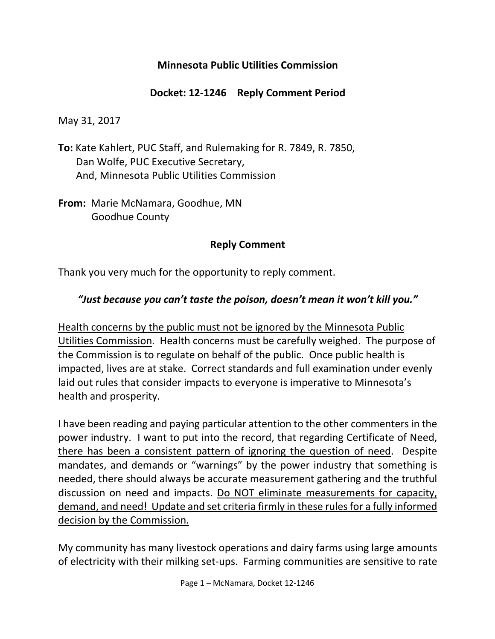### **Minnesota Public Utilities Commission**

### **Docket: 12-1246 Reply Comment Period**

May 31, 2017

- **To:** Kate Kahlert, PUC Staff, and Rulemaking for R. 7849, R. 7850, Dan Wolfe, PUC Executive Secretary, And, Minnesota Public Utilities Commission
- **From:** Marie McNamara, Goodhue, MN Goodhue County

### **Reply Comment**

Thank you very much for the opportunity to reply comment.

### *"Just because you can't taste the poison, doesn't mean it won't kill you."*

Health concerns by the public must not be ignored by the Minnesota Public Utilities Commission. Health concerns must be carefully weighed. The purpose of the Commission is to regulate on behalf of the public. Once public health is impacted, lives are at stake. Correct standards and full examination under evenly laid out rules that consider impacts to everyone is imperative to Minnesota's health and prosperity.

I have been reading and paying particular attention to the other commenters in the power industry. I want to put into the record, that regarding Certificate of Need, there has been a consistent pattern of ignoring the question of need. Despite mandates, and demands or "warnings" by the power industry that something is needed, there should always be accurate measurement gathering and the truthful discussion on need and impacts. Do NOT eliminate measurements for capacity, demand, and need! Update and set criteria firmly in these rules for a fully informed decision by the Commission.

My community has many livestock operations and dairy farms using large amounts of electricity with their milking set-ups. Farming communities are sensitive to rate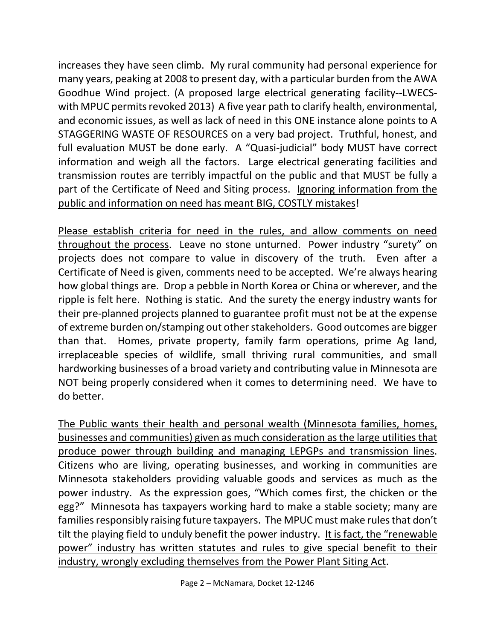increases they have seen climb. My rural community had personal experience for many years, peaking at 2008 to present day, with a particular burden from the AWA Goodhue Wind project. (A proposed large electrical generating facility--LWECSwith MPUC permits revoked 2013) A five year path to clarify health, environmental, and economic issues, as well as lack of need in this ONE instance alone points to A STAGGERING WASTE OF RESOURCES on a very bad project. Truthful, honest, and full evaluation MUST be done early. A "Quasi-judicial" body MUST have correct information and weigh all the factors. Large electrical generating facilities and transmission routes are terribly impactful on the public and that MUST be fully a part of the Certificate of Need and Siting process. Ignoring information from the public and information on need has meant BIG, COSTLY mistakes!

Please establish criteria for need in the rules, and allow comments on need throughout the process. Leave no stone unturned. Power industry "surety" on projects does not compare to value in discovery of the truth. Even after a Certificate of Need is given, comments need to be accepted. We're always hearing how global things are. Drop a pebble in North Korea or China or wherever, and the ripple is felt here. Nothing is static. And the surety the energy industry wants for their pre-planned projects planned to guarantee profit must not be at the expense of extreme burden on/stamping out other stakeholders. Good outcomes are bigger than that. Homes, private property, family farm operations, prime Ag land, irreplaceable species of wildlife, small thriving rural communities, and small hardworking businesses of a broad variety and contributing value in Minnesota are NOT being properly considered when it comes to determining need. We have to do better.

The Public wants their health and personal wealth (Minnesota families, homes, businesses and communities) given as much consideration as the large utilities that produce power through building and managing LEPGPs and transmission lines. Citizens who are living, operating businesses, and working in communities are Minnesota stakeholders providing valuable goods and services as much as the power industry. As the expression goes, "Which comes first, the chicken or the egg?" Minnesota has taxpayers working hard to make a stable society; many are families responsibly raising future taxpayers. The MPUC must make rules that don't tilt the playing field to unduly benefit the power industry. It is fact, the "renewable power" industry has written statutes and rules to give special benefit to their industry, wrongly excluding themselves from the Power Plant Siting Act.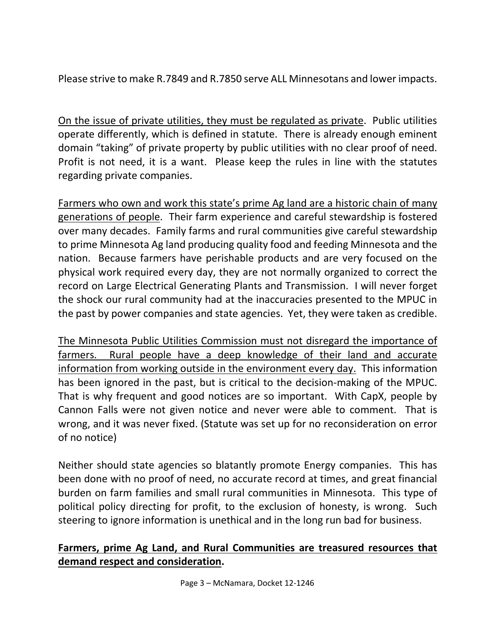Please strive to make R.7849 and R.7850 serve ALL Minnesotans and lower impacts.

On the issue of private utilities, they must be regulated as private. Public utilities operate differently, which is defined in statute. There is already enough eminent domain "taking" of private property by public utilities with no clear proof of need. Profit is not need, it is a want. Please keep the rules in line with the statutes regarding private companies.

Farmers who own and work this state's prime Ag land are a historic chain of many generations of people. Their farm experience and careful stewardship is fostered over many decades. Family farms and rural communities give careful stewardship to prime Minnesota Ag land producing quality food and feeding Minnesota and the nation. Because farmers have perishable products and are very focused on the physical work required every day, they are not normally organized to correct the record on Large Electrical Generating Plants and Transmission. I will never forget the shock our rural community had at the inaccuracies presented to the MPUC in the past by power companies and state agencies. Yet, they were taken as credible.

The Minnesota Public Utilities Commission must not disregard the importance of farmers. Rural people have a deep knowledge of their land and accurate information from working outside in the environment every day. This information has been ignored in the past, but is critical to the decision-making of the MPUC. That is why frequent and good notices are so important. With CapX, people by Cannon Falls were not given notice and never were able to comment. That is wrong, and it was never fixed. (Statute was set up for no reconsideration on error of no notice)

Neither should state agencies so blatantly promote Energy companies. This has been done with no proof of need, no accurate record at times, and great financial burden on farm families and small rural communities in Minnesota. This type of political policy directing for profit, to the exclusion of honesty, is wrong. Such steering to ignore information is unethical and in the long run bad for business.

### **Farmers, prime Ag Land, and Rural Communities are treasured resources that demand respect and consideration.**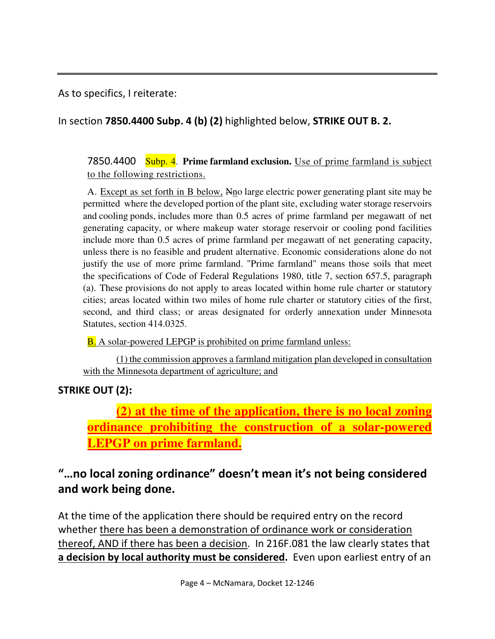As to specifics, I reiterate:

In section **7850.4400 Subp. 4 (b) (2)** highlighted below, **STRIKE OUT B. 2.** 

7850.4400 Subp. 4. **Prime farmland exclusion.** Use of prime farmland is subject to the following restrictions.

A. Except as set forth in B below, Nno large electric power generating plant site may be permitted where the developed portion of the plant site, excluding water storage reservoirs and cooling ponds, includes more than 0.5 acres of prime farmland per megawatt of net generating capacity, or where makeup water storage reservoir or cooling pond facilities include more than 0.5 acres of prime farmland per megawatt of net generating capacity, unless there is no feasible and prudent alternative. Economic considerations alone do not justify the use of more prime farmland. "Prime farmland" means those soils that meet the specifications of Code of Federal Regulations 1980, title 7, section 657.5, paragraph (a). These provisions do not apply to areas located within home rule charter or statutory cities; areas located within two miles of home rule charter or statutory cities of the first, second, and third class; or areas designated for orderly annexation under Minnesota Statutes, section 414.0325.

**B.** A solar-powered LEPGP is prohibited on prime farmland unless:

 (1) the commission approves a farmland mitigation plan developed in consultation with the Minnesota department of agriculture; and

## **STRIKE OUT (2):**

**(2) at the time of the application, there is no local zoning ordinance prohibiting the construction of a solar-powered LEPGP on prime farmland.** 

# **"…no local zoning ordinance" doesn't mean it's not being considered and work being done.**

At the time of the application there should be required entry on the record whether there has been a demonstration of ordinance work or consideration thereof, AND if there has been a decision. In 216F.081 the law clearly states that **a decision by local authority must be considered.** Even upon earliest entry of an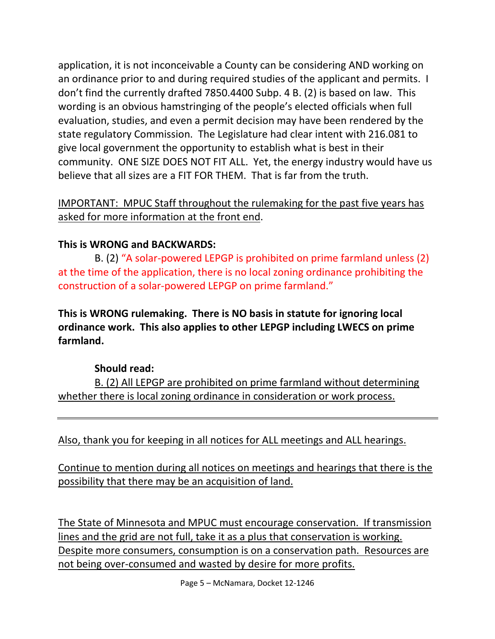application, it is not inconceivable a County can be considering AND working on an ordinance prior to and during required studies of the applicant and permits. I don't find the currently drafted 7850.4400 Subp. 4 B. (2) is based on law. This wording is an obvious hamstringing of the people's elected officials when full evaluation, studies, and even a permit decision may have been rendered by the state regulatory Commission. The Legislature had clear intent with 216.081 to give local government the opportunity to establish what is best in their community. ONE SIZE DOES NOT FIT ALL. Yet, the energy industry would have us believe that all sizes are a FIT FOR THEM. That is far from the truth.

### IMPORTANT: MPUC Staff throughout the rulemaking for the past five years has asked for more information at the front end.

## **This is WRONG and BACKWARDS:**

 B. (2) "A solar-powered LEPGP is prohibited on prime farmland unless (2) at the time of the application, there is no local zoning ordinance prohibiting the construction of a solar-powered LEPGP on prime farmland."

**This is WRONG rulemaking. There is NO basis in statute for ignoring local ordinance work. This also applies to other LEPGP including LWECS on prime farmland.** 

### **Should read:**

B. (2) All LEPGP are prohibited on prime farmland without determining whether there is local zoning ordinance in consideration or work process.

Also, thank you for keeping in all notices for ALL meetings and ALL hearings.

Continue to mention during all notices on meetings and hearings that there is the possibility that there may be an acquisition of land.

The State of Minnesota and MPUC must encourage conservation. If transmission lines and the grid are not full, take it as a plus that conservation is working. Despite more consumers, consumption is on a conservation path. Resources are not being over-consumed and wasted by desire for more profits.